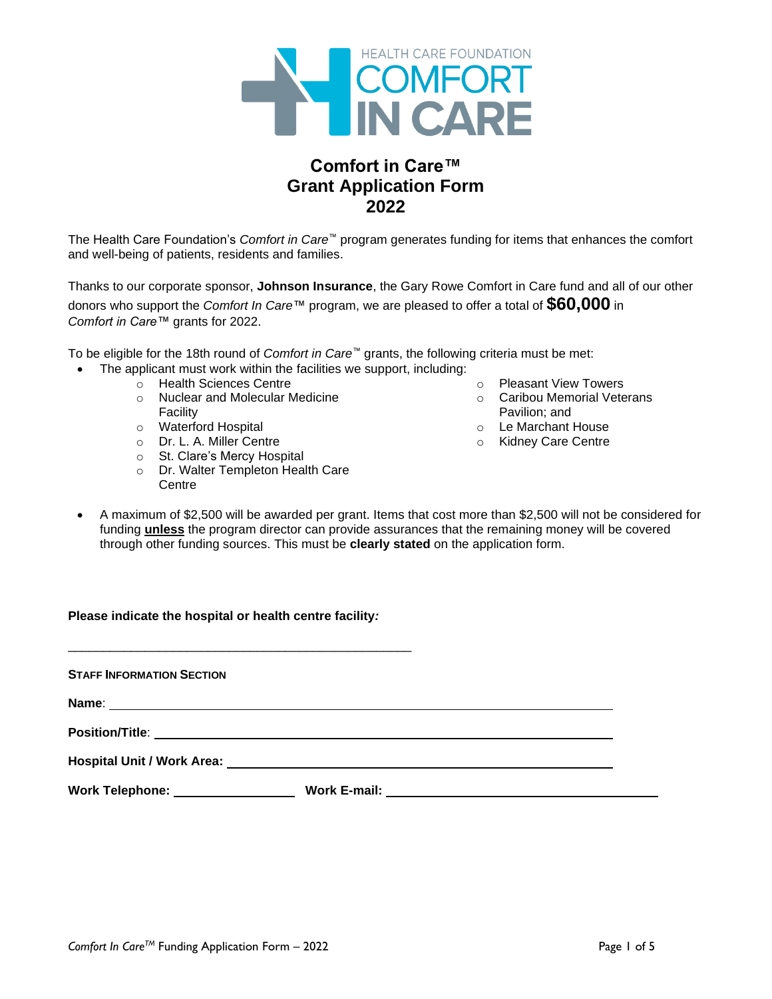

# **Comfort in Care™ Grant Application Form 2022**

The Health Care Foundation's *Comfort in Care™* program generates funding for items that enhances the comfort and well-being of patients, residents and families.

Thanks to our corporate sponsor, **Johnson Insurance**, the Gary Rowe Comfort in Care fund and all of our other donors who support the *Comfort In Care*™ program, we are pleased to offer a total of **\$60,000** in *Comfort in Care™* grants for 2022.

To be eligible for the 18th round of *Comfort in Care™* grants, the following criteria must be met:

- The applicant must work within the facilities we support, including:
	- o Health Sciences Centre
		- o Nuclear and Molecular Medicine Facility
		- o Waterford Hospital
		- o Dr. L. A. Miller Centre
		- o St. Clare's Mercy Hospital
		- o Dr. Walter Templeton Health Care **Centre**
- o Pleasant View Towers
- o Caribou Memorial Veterans Pavilion; and
- o Le Marchant House
- o Kidney Care Centre
- A maximum of \$2,500 will be awarded per grant. Items that cost more than \$2,500 will not be considered for funding **unless** the program director can provide assurances that the remaining money will be covered through other funding sources. This must be **clearly stated** on the application form.

<u> 1980 - Johann Stoff, deutscher Stoff, der Stoff, der Stoff, der Stoff, der Stoff, der Stoff, der Stoff, der S</u>

### **Please indicate the hospital or health centre facility***:*

\_\_\_\_\_\_\_\_\_\_\_\_\_\_\_\_\_\_\_\_\_\_\_\_\_\_\_\_\_\_\_\_\_\_\_\_\_\_\_\_\_\_\_\_\_\_\_\_\_

**STAFF INFORMATION SECTION**

**Name**:

**Position/Title**:

**Hospital Unit / Work Area:**

**Work Telephone: Work E-mail:**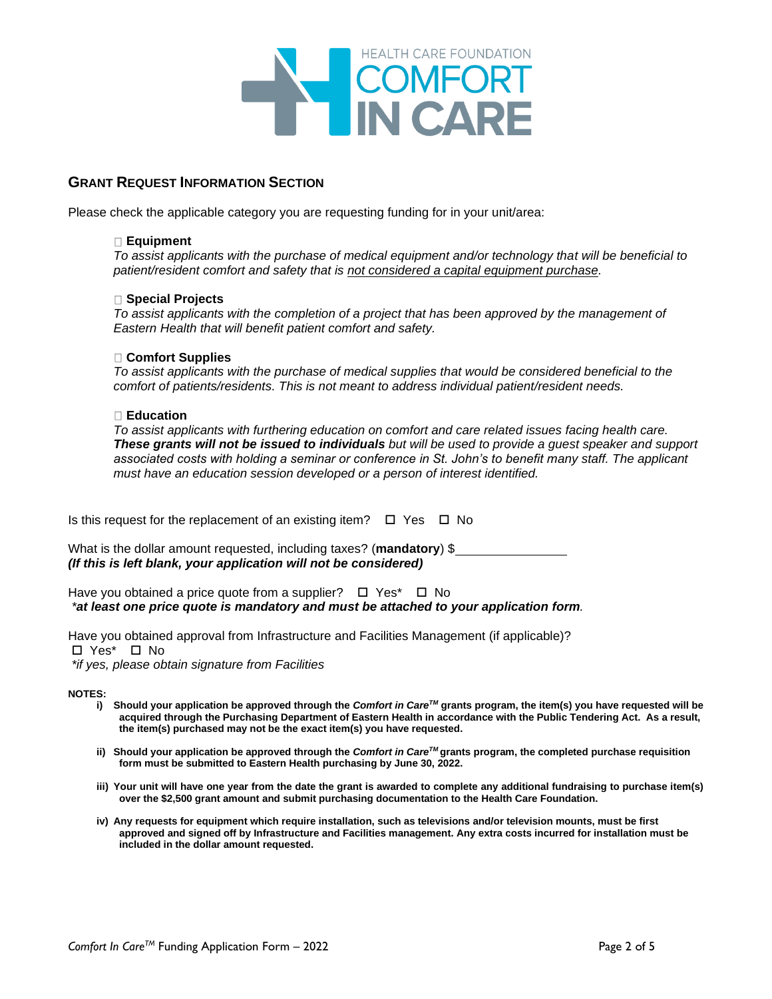

### **GRANT REQUEST INFORMATION SECTION**

Please check the applicable category you are requesting funding for in your unit/area:

#### **Equipment**

*To assist applicants with the purchase of medical equipment and/or technology that will be beneficial to patient/resident comfort and safety that is not considered a capital equipment purchase.*

#### **Special Projects**

*To assist applicants with the completion of a project that has been approved by the management of Eastern Health that will benefit patient comfort and safety.*

#### **Comfort Supplies**

*To assist applicants with the purchase of medical supplies that would be considered beneficial to the comfort of patients/residents. This is not meant to address individual patient/resident needs.*

#### **Education**

*To assist applicants with furthering education on comfort and care related issues facing health care. These grants will not be issued to individuals but will be used to provide a guest speaker and support associated costs with holding a seminar or conference in St. John's to benefit many staff. The applicant must have an education session developed or a person of interest identified.*

Is this request for the replacement of an existing item?  $\Box$  Yes  $\Box$  No

| What is the dollar amount requested, including taxes? (mandatory) \$ |
|----------------------------------------------------------------------|
| (If this is left blank, your application will not be considered)     |

| Have you obtained a price quote from a supplier? $\Box$ Yes* $\Box$ No                |  |  |  |
|---------------------------------------------------------------------------------------|--|--|--|
| *at least one price quote is mandatory and must be attached to your application form. |  |  |  |

Have you obtained approval from Infrastructure and Facilities Management (if applicable)? Yes\* No *\*if yes, please obtain signature from Facilities*

**NOTES:** 

- **i) Should your application be approved through the** *Comfort in Care TM* **grants program, the item(s) you have requested will be acquired through the Purchasing Department of Eastern Health in accordance with the Public Tendering Act. As a result, the item(s) purchased may not be the exact item(s) you have requested.**
- **ii) Should your application be approved through the** *Comfort in CareTM* **grants program, the completed purchase requisition form must be submitted to Eastern Health purchasing by June 30, 2022.**
- **iii) Your unit will have one year from the date the grant is awarded to complete any additional fundraising to purchase item(s) over the \$2,500 grant amount and submit purchasing documentation to the Health Care Foundation.**
- **iv) Any requests for equipment which require installation, such as televisions and/or television mounts, must be first approved and signed off by Infrastructure and Facilities management. Any extra costs incurred for installation must be included in the dollar amount requested.**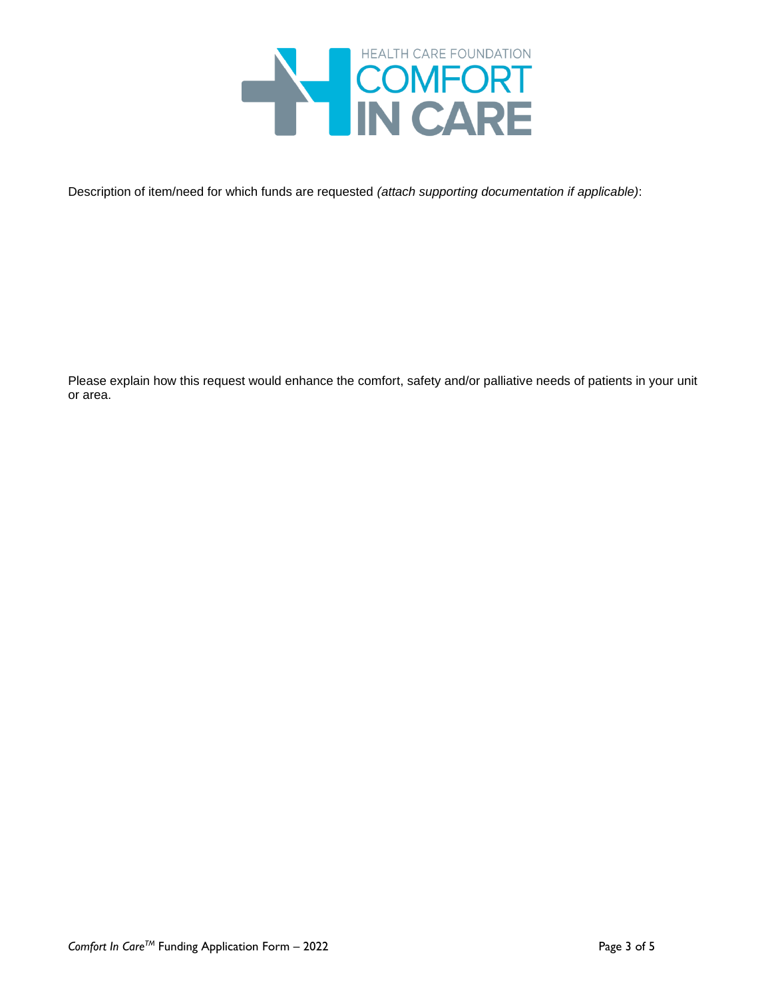

Description of item/need for which funds are requested *(attach supporting documentation if applicable)*:

Please explain how this request would enhance the comfort, safety and/or palliative needs of patients in your unit or area.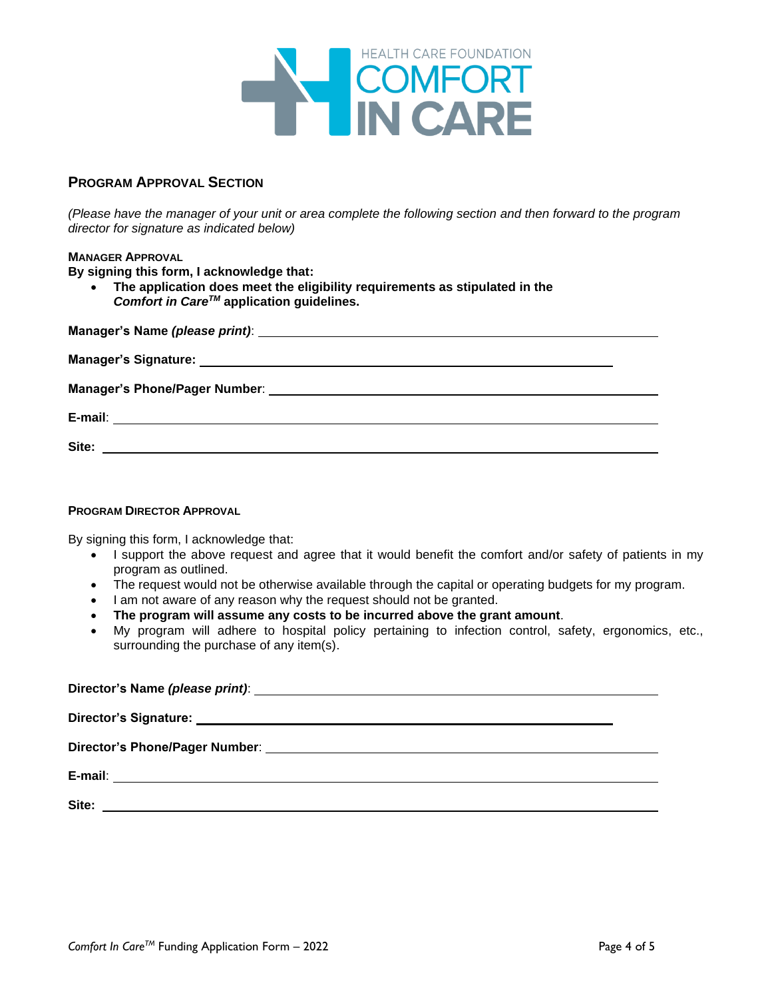

# **PROGRAM APPROVAL SECTION**

*(Please have the manager of your unit or area complete the following section and then forward to the program director for signature as indicated below)*

### **MANAGER APPROVAL**

**By signing this form, I acknowledge that:**

• **The application does meet the eligibility requirements as stipulated in the**  *Comfort in CareTM* **application guidelines.**

#### **PROGRAM DIRECTOR APPROVAL**

By signing this form, I acknowledge that:

- I support the above request and agree that it would benefit the comfort and/or safety of patients in my program as outlined.
- The request would not be otherwise available through the capital or operating budgets for my program.
- I am not aware of any reason why the request should not be granted.
- **The program will assume any costs to be incurred above the grant amount**.
- My program will adhere to hospital policy pertaining to infection control, safety, ergonomics, etc., surrounding the purchase of any item(s).

| Site: |  |  |
|-------|--|--|